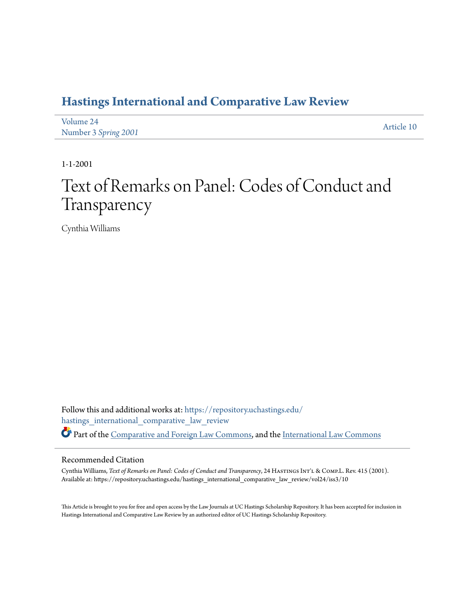### **[Hastings International and Comparative Law Review](https://repository.uchastings.edu/hastings_international_comparative_law_review?utm_source=repository.uchastings.edu%2Fhastings_international_comparative_law_review%2Fvol24%2Fiss3%2F10&utm_medium=PDF&utm_campaign=PDFCoverPages)**

| Volume 24            | Article 10 |
|----------------------|------------|
| Number 3 Spring 2001 |            |

1-1-2001

# Text of Remarks on Panel: Codes of Conduct and Transparency

Cynthia Williams

Follow this and additional works at: [https://repository.uchastings.edu/](https://repository.uchastings.edu/hastings_international_comparative_law_review?utm_source=repository.uchastings.edu%2Fhastings_international_comparative_law_review%2Fvol24%2Fiss3%2F10&utm_medium=PDF&utm_campaign=PDFCoverPages) [hastings\\_international\\_comparative\\_law\\_review](https://repository.uchastings.edu/hastings_international_comparative_law_review?utm_source=repository.uchastings.edu%2Fhastings_international_comparative_law_review%2Fvol24%2Fiss3%2F10&utm_medium=PDF&utm_campaign=PDFCoverPages) Part of the [Comparative and Foreign Law Commons](http://network.bepress.com/hgg/discipline/836?utm_source=repository.uchastings.edu%2Fhastings_international_comparative_law_review%2Fvol24%2Fiss3%2F10&utm_medium=PDF&utm_campaign=PDFCoverPages), and the [International Law Commons](http://network.bepress.com/hgg/discipline/609?utm_source=repository.uchastings.edu%2Fhastings_international_comparative_law_review%2Fvol24%2Fiss3%2F10&utm_medium=PDF&utm_campaign=PDFCoverPages)

#### Recommended Citation

Cynthia Williams, *Text of Remarks on Panel: Codes of Conduct and Transparency*, 24 HASTINGS INT'L & COMP.L. Rev. 415 (2001). Available at: https://repository.uchastings.edu/hastings\_international\_comparative\_law\_review/vol24/iss3/10

This Article is brought to you for free and open access by the Law Journals at UC Hastings Scholarship Repository. It has been accepted for inclusion in Hastings International and Comparative Law Review by an authorized editor of UC Hastings Scholarship Repository.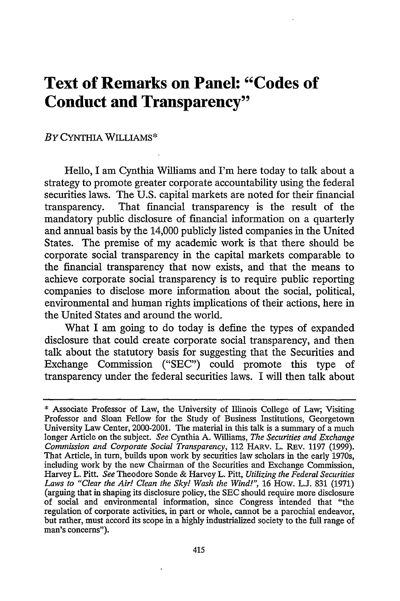## **Text of Remarks on Panel: "Codes of Conduct and Transparency"**

#### *BY* CYNTHIA WILLIAMS\*

Hello, I am Cynthia Williams and I'm here today to talk about a strategy to promote greater corporate accountability using the federal securities laws. The U.S. capital markets are noted for their financial transparency. That financial transparency is the result of the mandatory public disclosure of financial information on a quarterly and annual basis by the 14,000 publicly listed companies in the United States. The premise of my academic work is that there should be corporate social transparency in the capital markets comparable to the financial transparency that now exists, and that the means to achieve corporate social transparency is to require public reporting companies to disclose more information about the social, political, environmental and human rights implications of their actions, here in the United States and around the world.

What I am going to do today is define the types of expanded disclosure that could create corporate social transparency, and then talk about the statutory basis for suggesting that the Securities and Exchange Commission ("SEC") could promote this type of transparency under the federal securities laws. I will then talk about

<sup>\*</sup> Associate Professor of Law, the University of Illinois College of Law; Visiting Professor and Sloan Fellow for the Study of Business Institutions, Georgetown University Law Center, 2000-2001. The material in this talk is a summary of a much longer Article on the subject. *See* Cynthia A. Williams, *The Securities and Exchange* Commission and Corporate Social Transparency, 112 HARV. L. REV. 1197 (1999). That Article, in turn, builds upon work by securities law scholars in the early 1970s, including work by the new Chairman of the Securities and Exchange Commission, Harvey L. Pitt. *See* Theodore Sonde & Harvey L. Pitt, *Utilizing the Federal Securities* Laws to "Clear the Air! Clean the Sky! Wash the Wind!", 16 How. L.J. 831 (1971) (arguing that in shaping its disclosure policy, the SEC should require more disclosure of social. and environmental information, since Congress intended that "the regulation of corporate activities, in part or whole, cannot be a parochial endeavor, but rather, must accord its scope in a highly industrialized society to the **full** range of man's concerns").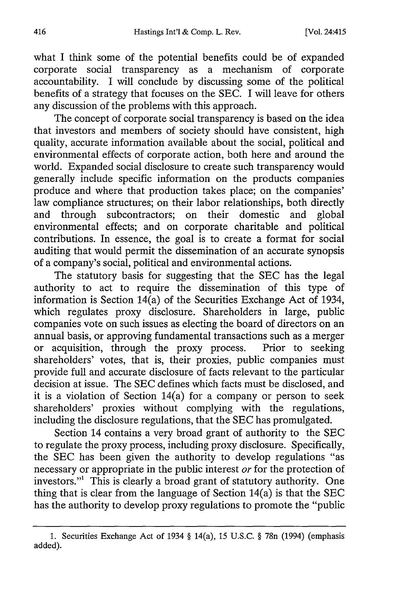what I think some of the potential benefits could be of expanded corporate social transparency as a mechanism of corporate accountability. I will conclude by discussing some of the political benefits of a strategy that focuses on the SEC. I will leave for others any discussion of the problems with this approach.

The concept of corporate social transparency is based on the idea that investors and members of society should have consistent, high quality, accurate information available about the social, political and environmental effects of corporate action, both here and around the world. Expanded social disclosure to create such transparency would generally include specific information on the products companies produce and where that production takes place; on the companies' law compliance structures; on their labor relationships, both directly and through subcontractors; on their domestic and global environmental effects; and on corporate charitable and political contributions. In essence, the goal is to create a format for social auditing that would permit the dissemination of an accurate synopsis of a company's social, political and environmental actions.

The statutory basis for suggesting that the SEC has the legal authority to act to require the dissemination of this type of information is Section 14(a) of the Securities Exchange Act of 1934, which regulates proxy disclosure. Shareholders in large, public companies vote on such issues as electing the board of directors on an annual basis, or approving fundamental transactions such as a merger or acquisition, through the proxy process. Prior to seeking shareholders' votes, that is, their proxies, public companies must provide full and accurate disclosure of facts relevant to the particular decision at issue. The SEC defines which facts must be disclosed, and it is a violation of Section 14(a) for a company or person to seek shareholders' proxies without complying with the regulations, including the disclosure regulations, that the SEC has promulgated.

Section 14 contains a very broad grant of authority to the SEC to regulate the proxy process, including proxy disclosure. Specifically, the SEC has been given the authority to develop regulations "as necessary or appropriate in the public interest or for the protection of investors."' This is clearly a broad grant of statutory authority. One thing that is clear from the language of Section 14(a) is that the SEC has the authority to develop proxy regulations to promote the "public

<sup>1.</sup> Securities Exchange Act of 1934 § 14(a), 15 U.S.C. § 78n (1994) (emphasis added).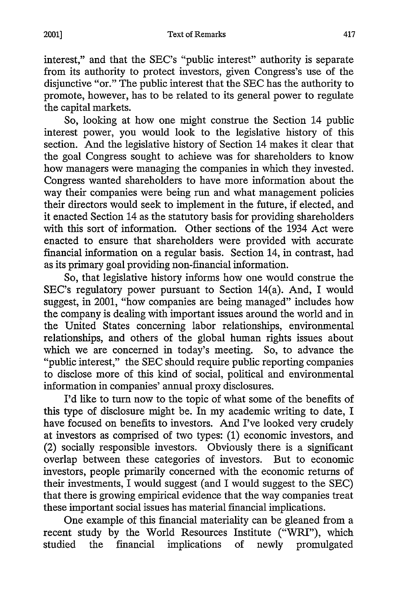interest," and that the SEC's "public interest" authority is separate from its authority to protect investors, given Congress's use of the disjunctive "or." The public interest that the SEC has the authority to promote, however, has to be related to its general power to regulate the capital markets.

So, looking at how one might construe the Section 14 public interest power, you would look to the legislative history of this section. And the legislative history of Section 14 makes it clear that the goal Congress sought to achieve was for shareholders to know how managers were managing the companies in which they invested. Congress wanted shareholders to have more information about the way their companies were being run and what management policies their directors would seek to implement in the future, if elected, and it enacted Section 14 as the statutory basis for providing shareholders with this sort of information. Other sections of the 1934 Act were enacted to ensure that shareholders were provided with accurate financial information on a regular basis. Section 14, in contrast, had as its primary goal providing non-financial information.

So, that legislative history informs how one would construe the SEC's regulatory power pursuant to Section 14(a). And, I would suggest, in 2001, "how companies are being managed" includes how the company is dealing with important issues around the world and in the United States concerning labor relationships, environmental relationships, and others of the global human rights issues about which we are concerned in today's meeting. So, to advance the "public interest," the SEC should require public reporting companies to disclose more of this kind of social, political and environmental information in companies' annual proxy disclosures.

I'd like to turn now to the topic of what some of the benefits of this type of disclosure might be. In my academic writing to date, I have focused on benefits to investors. And I've looked very crudely at investors as comprised of two types: (1) economic investors, and (2) socially responsible investors. Obviously there is a significant overlap between these categories of investors. But to economic investors, people primarily concerned with the economic returns of their investments, I would suggest (and I would suggest to the SEC) that there is growing empirical evidence that the way companies treat these important social issues has material financial implications.

One example of this financial materiality can be gleaned from a recent study by the World Resources Institute ("WRI"), which studied the financial implications of newly promulgated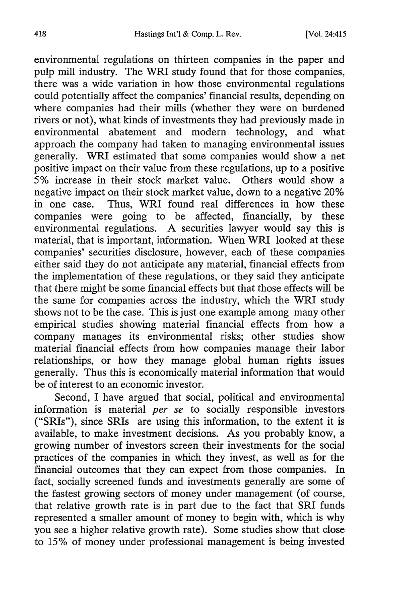environmental regulations on thirteen companies in the paper and pulp mill industry. The WRI study found that for those companies, there was a wide variation in how those environmental regulations could potentially affect the companies' financial results, depending on where companies had their mills (whether they were on burdened rivers or not), what kinds of investments they had previously made in environmental abatement and modem technology, and what approach the company had taken to managing environmental issues generally. WRI estimated that some companies would show a net positive impact on their value from these regulations, up to a positive 5% increase in their stock market value. Others would show a negative impact on their stock market value, down to a negative 20% in one case. Thus, WRI found real differences in how these companies were going to be affected, financially, by these environmental regulations. A securities lawyer would say this is material, that is important, information. When WRI looked at these companies' securities disclosure, however, each of these companies either said they do not anticipate any material, financial effects from the implementation of these regulations, or they said they anticipate that there might be some financial effects but that those effects will be the same for companies across the industry, which the WRI study shows not to be the case. This is just one example among many other empirical studies showing material financial effects from how a company manages its environmental risks; other studies show material financial effects from how companies manage their labor relationships, or how they manage global human rights issues generally. Thus this is economically material information that would be of interest to an economic investor.

Second, I have argued that social, political and environmental information is material *per se* to socially responsible investors ("SRIs"), since SRIs are using this information, to the extent it is available, to make investment decisions. As you probably know, a growing number of investors screen their investments for the social practices of the companies in which they invest, as well as for the financial outcomes that they can expect from those companies. In fact, socially screened funds and investments generally are some of the fastest growing sectors of money under management (of course, that relative growth rate is in part due to the fact that SRI funds represented a smaller amount of money to begin with, which is why you see a higher relative growth rate). Some studies show that close to 15% of money under professional management is being invested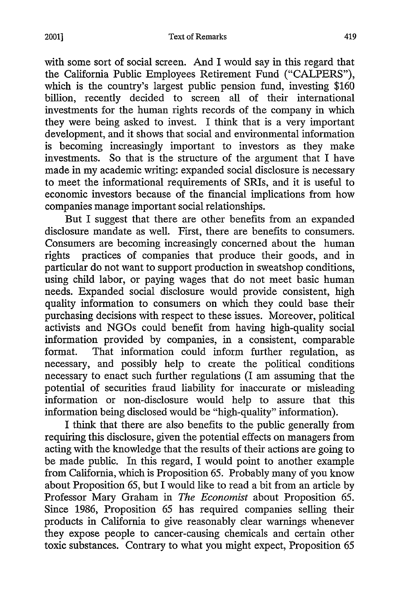with some sort of social screen. And I would say in this regard that the California Public Employees Retirement Fund ("CALPERS"), which is the country's largest public pension fund, investing \$160 billion, recently decided to screen all of their international investments for the human rights records of the company in which they were being asked to invest. I think that is a very important development, and it shows that social and environmental information is becoming increasingly important to investors as they make investments. So that is the structure of the argument that I have made in my academic writing: expanded social disclosure is necessary to meet the informational requirements of SRIs, and it is useful to economic investors because of the financial implications from how companies manage important social relationships.

But I suggest that there are other benefits from an expanded disclosure mandate as well. First, there are benefits to consumers. Consumers are becoming increasingly concerned about the human rights practices of companies that produce their goods, and in particular do not want to support production in sweatshop conditions, using child labor, or paying wages that do not meet basic human needs. Expanded social disclosure would provide consistent, high quality information to consumers on which they could base their purchasing decisions with respect to these issues. Moreover, political activists and NGOs could benefit from having high-quality social information provided by companies, in a consistent, comparable format. That information could inform further regulation, as necessary, and possibly help to create the political conditions necessary to enact such further regulations (I am assuming that the potential of securities fraud liability for inaccurate or misleading information or non-disclosure would help to assure that this information being disclosed would be "high-quality" information).

I think that there are also benefits to the public generally from requiring this disclosure, given the potential effects on managers from acting with the knowledge that the results of their actions are going to be made public. In this regard, I would point to another example from California, which is Proposition 65. Probably many of you know about Proposition 65, but I would like to read a bit from an article by Professor Mary Graham in *The Economist* about Proposition 65. Since 1986, Proposition 65 has required companies selling their products in California to give reasonably clear warnings whenever they expose people to cancer-causing chemicals and certain other toxic substances. Contrary to what you might expect, Proposition 65

419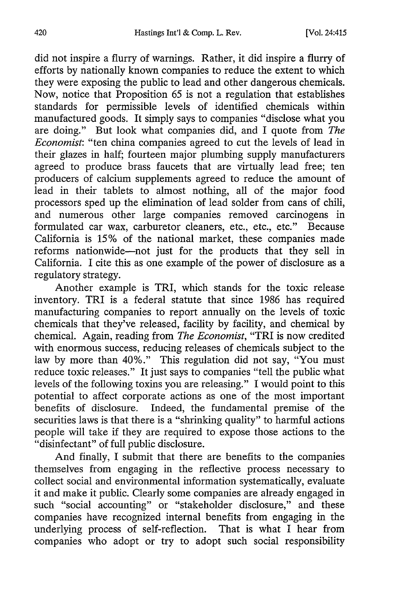did not inspire a flurry of warnings. Rather, it did inspire a flurry of efforts by nationally known companies to reduce the extent to which they were exposing the public to lead and other dangerous chemicals. Now, notice that Proposition 65 is not a regulation that establishes standards for permissible levels of identified chemicals within manufactured goods. It simply says to companies "disclose what you are doing." But look what companies did, and I quote from *The Economist:* "ten china companies agreed to cut the levels of lead in their glazes in half; fourteen major plumbing supply manufacturers agreed to produce brass faucets that are virtually lead free; ten producers of calcium supplements agreed to reduce the amount of lead in their tablets to almost nothing, all of the major food processors sped up the elimination of lead solder from cans of chili, and numerous other large companies removed carcinogens in formulated car wax, carburetor cleaners, etc., etc., etc." Because California is 15% of the national market, these companies made reforms nationwide-not just for the products that they sell in California. I cite this as one example of the power of disclosure as a regulatory strategy.

Another example is TRI, which stands for the toxic release inventory. TRI is a federal statute that since 1986 has required manufacturing companies to report annually on the levels of toxic chemicals that they've released, facility by facility, and chemical by chemical. Again, reading from *The Economist,* "TRI is now credited with enormous success, reducing releases of chemicals subject to the law by more than 40%." This regulation did not say, "You must reduce toxic releases." It just says to companies "tell the public what levels of the following toxins you are releasing." I would point to this potential to affect corporate actions as one of the most important benefits of disclosure. Indeed, the fundamental premise of the securities laws is that there is a "shrinking quality" to harmful actions people will take if they are required to expose those actions to the "disinfectant" of full public disclosure.

And finally, I submit that there are benefits to the companies themselves from engaging in the reflective process necessary to collect social and environmental information systematically, evaluate it and make it public. Clearly some companies are already engaged in such "social accounting" or "stakeholder disclosure," and these companies have recognized internal benefits from engaging in the underlying process of self-reflection. That is what I hear from companies who adopt or try to adopt such social responsibility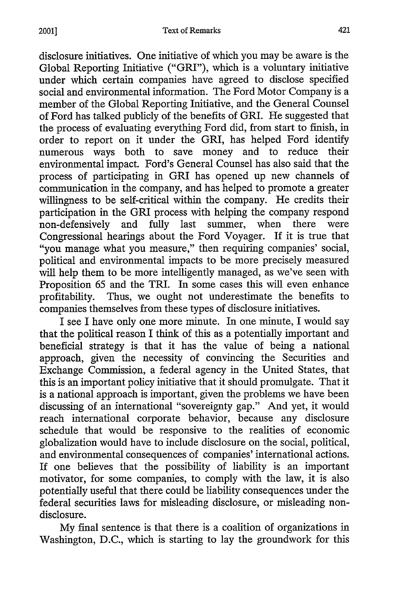disclosure initiatives. One initiative of which you may be aware is the Global Reporting Initiative ("GRI"), which is a voluntary initiative under which certain companies have agreed to disclose specified social and environmental information. The Ford Motor Company is a member of the Global Reporting Initiative, and the General Counsel of Ford has talked publicly of the benefits of GRI. He suggested that the process of evaluating everything Ford did, from start to finish, in order to report on it under the GRI, has helped Ford identify numerous ways both to save money and to reduce their environmental impact. Ford's General Counsel has also said that the process of participating in GRI has opened up new channels of communication in the company, and has helped to promote a greater willingness to be self-critical within the company. He credits their participation in the GRI process with helping the company respond non-defensively and fully last summer, when there were Congressional hearings about the Ford Voyager. If it is true that "you manage what you measure," then requiring companies' social, political and environmental impacts to be more precisely measured will help them to be more intelligently managed, as we've seen with Proposition 65 and the TRI. In some cases this will even enhance profitability. Thus, we ought not underestimate the benefits to companies themselves from these types of disclosure initiatives.

I see I have only one more minute. In one minute, I would say that the political reason I think of this as a potentially important and beneficial strategy is that it has the value of being a national approach, given the necessity of convincing the Securities and Exchange Commission, a federal agency in the United States, that this is an important policy initiative that it should promulgate. That it is a national approach is important, given the problems we have been discussing of an international "sovereignty gap." And yet, it would reach international corporate behavior, because any disclosure schedule that would be responsive to the realities of economic globalization would have to include disclosure on the social, political, and environmental consequences of companies' international actions. If one believes that the possibility of liability is an important motivator, for some companies, to comply with the law, it is also potentially useful that there could be liability consequences under the federal securities laws for misleading disclosure, or misleading nondisclosure.

My final sentence is that there is a coalition of organizations in Washington, D.C., which is starting to lay the groundwork for this